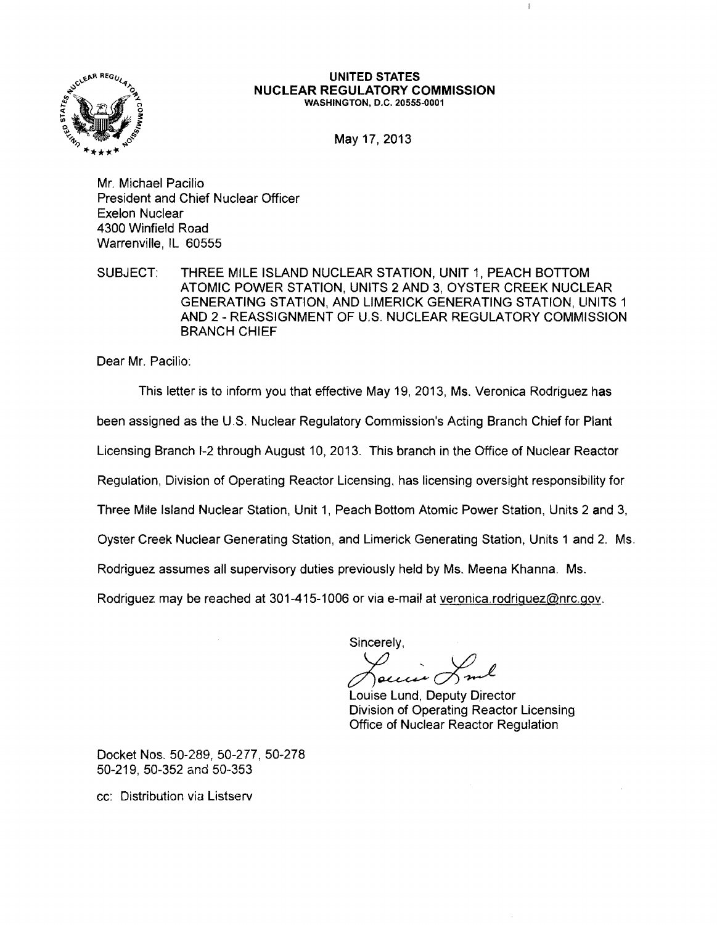

## **UNITED STATES NUCLEAR REGULATORY COMMISSION** WASHINGTON, D.C. 20555-0001

 $\overline{1}$ 

May 17, 2013

Mr. Michael Pacilio President and Chief Nuclear Officer Exelon Nuclear 4300 Winfield Road Warrenville, IL 60555

SUBJECT: THREE MILE ISLAND NUCLEAR STATION, UNIT 1, PEACH BOTTOM ATOMIC POWER STATION, UNITS 2 AND 3, OYSTER CREEK NUCLEAR GENERATING STATION, AND LIMERICK GENERATING STATION, UNITS 1 AND 2 - REASSIGNMENT OF U.S. NUCLEAR REGULATORY COMMISSION BRANCH CHIEF

Dear Mr. Pacilio:

This letter is to inform you that effective May 19, 2013, Ms. Veronica Rodriguez has been assigned as the U.S. Nuclear Regulatory Commission's Acting Branch Chief for Plant Licensing Branch 1-2 through August 10, 2013. This branch in the Office of Nuclear Reactor Regulation, Division of Operating Reactor Licensing, has licensing oversight responsibility for Three Mile Island Nuclear Station, Unit 1, Peach Bottom Atomic Power Station, Units 2 and 3, Oyster Creek Nuclear Generating Station, and Limerick Generating Station, Units 1 and 2. Ms. Rodriguez assumes all supervisory duties previously held by Ms. Meena Khanna. Ms.

Rodriguez may be reached at 301-415-1006 or via e-mail at veronica rodriguez@nrc.gov.

Sincerely,

Louise Lund, Deputy Director Division of Operating Reactor Licensing Office of Nuclear Reactor Regulation

Docket Nos. 50-289, 50-277, 50-278 50-219, 50-352 and 50-353

cc: Distribution via Listserv